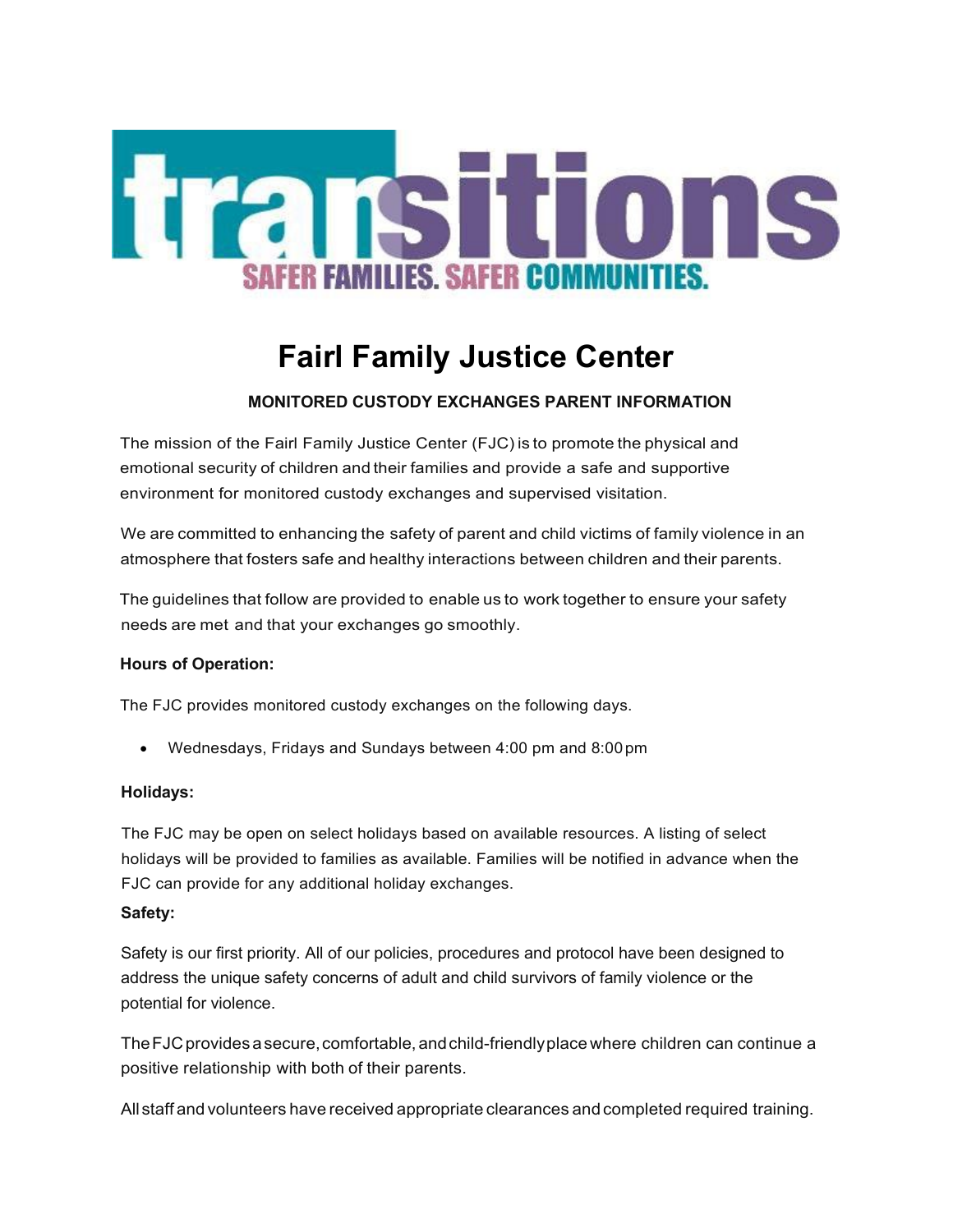

# **Fairl Family Justice Center**

# **MONITORED CUSTODY EXCHANGES PARENT INFORMATION**

The mission of the Fairl Family Justice Center (FJC) is to promote the physical and emotional security of children and their families and provide a safe and supportive environment for monitored custody exchanges and supervised visitation.

We are committed to enhancing the safety of parent and child victims of family violence in an atmosphere that fosters safe and healthy interactions between children and their parents.

The guidelines that follow are provided to enable us to work together to ensure your safety needs are met and that your exchanges go smoothly.

## **Hours of Operation:**

The FJC provides monitored custody exchanges on the following days.

• Wednesdays, Fridays and Sundays between 4:00 pm and 8:00pm

#### **Holidays:**

The FJC may be open on select holidays based on available resources. A listing of select holidays will be provided to families as available. Families will be notified in advance when the FJC can provide for any additional holiday exchanges.

## **Safety:**

Safety is our first priority. All of our policies, procedures and protocol have been designed to address the unique safety concerns of adult and child survivors of family violence or the potential for violence.

The FJC provides a secure, comfortable, and child-friendly place where children can continue a positive relationship with both of their parents.

All staff and volunteers have received appropriate clearances and completed required training.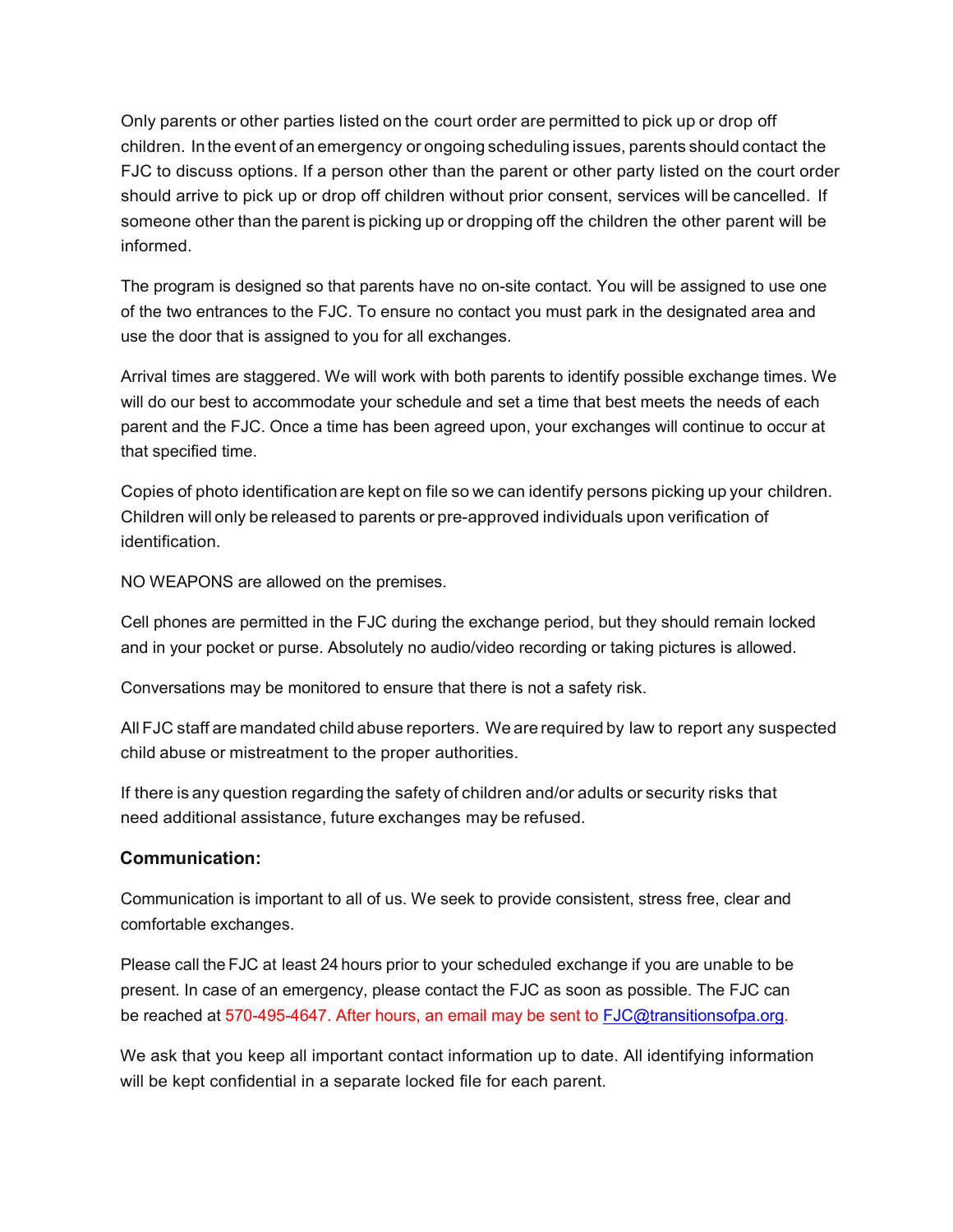Only parents or other parties listed on the court order are permitted to pick up or drop off children. Inthe event of an emergency or ongoing scheduling issues, parents should contact the FJC to discuss options. If a person other than the parent or other party listed on the court order should arrive to pick up or drop off children without prior consent, services will be cancelled. If someone other than the parent is picking up or dropping off the children the other parent will be informed.

The program is designed so that parents have no on-site contact. You will be assigned to use one of the two entrances to the FJC. To ensure no contact you must park in the designated area and use the door that is assigned to you for all exchanges.

Arrival times are staggered. We will work with both parents to identify possible exchange times. We will do our best to accommodate your schedule and set a time that best meets the needs of each parent and the FJC. Once a time has been agreed upon, your exchanges will continue to occur at that specified time.

Copies of photo identification are kept on file so we can identify persons picking up your children. Children will only be released to parents or pre-approved individuals upon verification of identification.

NO WEAPONS are allowed on the premises.

Cell phones are permitted in the FJC during the exchange period, but they should remain locked and in your pocket or purse. Absolutely no audio/video recording or taking pictures is allowed.

Conversations may be monitored to ensure that there is not a safety risk.

All FJC staff are mandated child abuse reporters. We are required by law to report any suspected child abuse or mistreatment to the proper authorities.

If there is any question regarding the safety of children and/or adults or security risks that need additional assistance, future exchanges may be refused.

## **Communication:**

Communication is important to all of us. We seek to provide consistent, stress free, clear and comfortable exchanges.

Please call the FJC at least 24 hours prior to your scheduled exchange if you are unable to be present. In case of an emergency, please contact the FJC as soon as possible. The FJC can be reached at 570-495-4647. After hours, an email may be sent to **FJC@transitionsofpa.org.** 

We ask that you keep all important contact information up to date. All identifying information will be kept confidential in a separate locked file for each parent.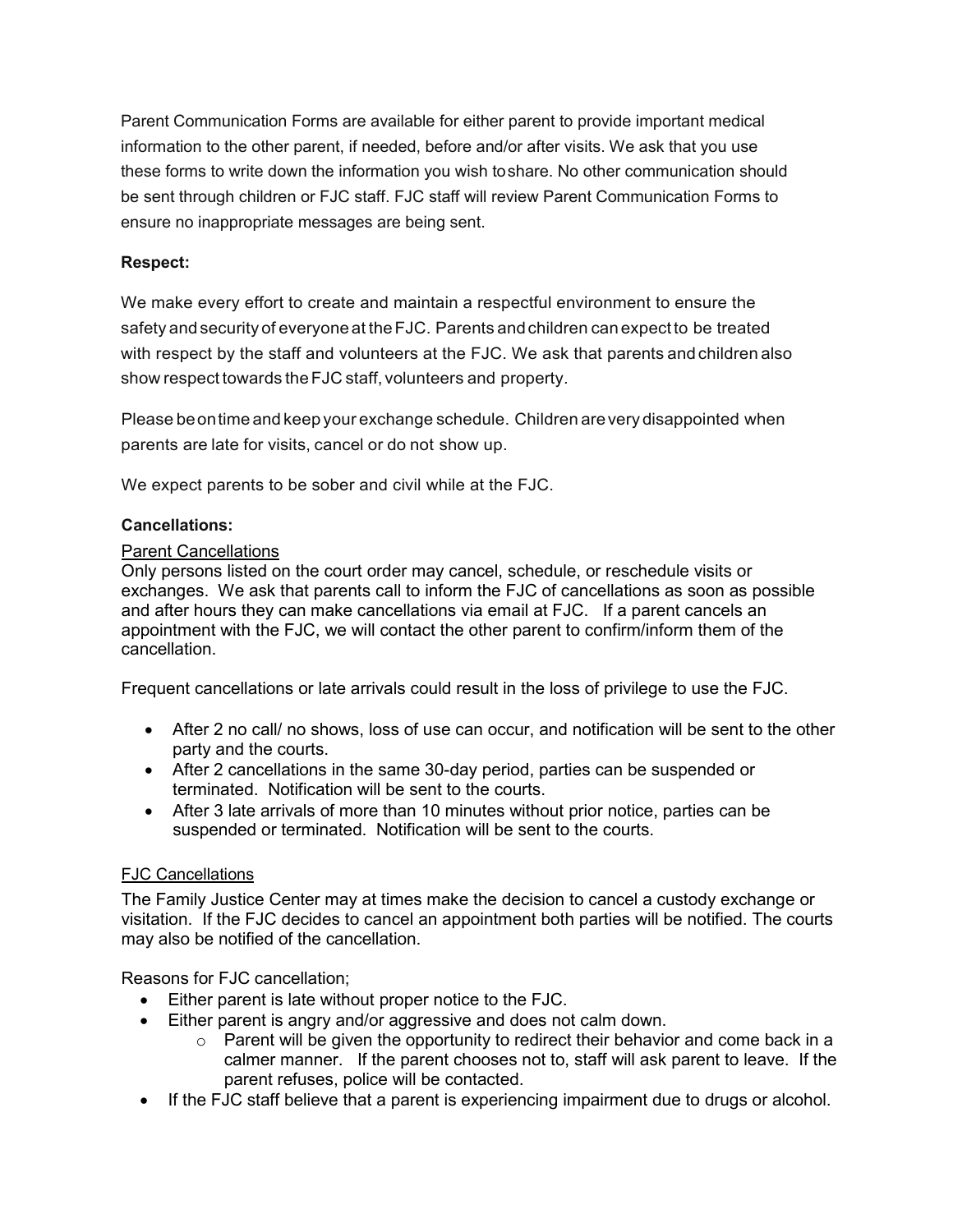Parent Communication Forms are available for either parent to provide important medical information to the other parent, if needed, before and/or after visits. We ask that you use these forms to write down the information you wish toshare. No other communication should be sent through children or FJC staff. FJC staff will review Parent Communication Forms to ensure no inappropriate messages are being sent.

## **Respect:**

We make every effort to create and maintain a respectful environment to ensure the safety and security of everyone at theFJC. Parents andchildren can expect to be treated with respect by the staff and volunteers at the FJC. We ask that parents and children also show respect towards the FJC staff, volunteers and property.

Please beontime and keep your exchange schedule. Children arevery disappointed when parents are late for visits, cancel or do not show up.

We expect parents to be sober and civil while at the FJC.

## **Cancellations:**

## Parent Cancellations

Only persons listed on the court order may cancel, schedule, or reschedule visits or exchanges. We ask that parents call to inform the FJC of cancellations as soon as possible and after hours they can make cancellations via email at FJC. If a parent cancels an appointment with the FJC, we will contact the other parent to confirm/inform them of the cancellation.

Frequent cancellations or late arrivals could result in the loss of privilege to use the FJC.

- After 2 no call/ no shows, loss of use can occur, and notification will be sent to the other party and the courts.
- After 2 cancellations in the same 30-day period, parties can be suspended or terminated. Notification will be sent to the courts.
- After 3 late arrivals of more than 10 minutes without prior notice, parties can be suspended or terminated. Notification will be sent to the courts.

## FJC Cancellations

The Family Justice Center may at times make the decision to cancel a custody exchange or visitation. If the FJC decides to cancel an appointment both parties will be notified. The courts may also be notified of the cancellation.

Reasons for FJC cancellation;

- Either parent is late without proper notice to the FJC.
- Either parent is angry and/or aggressive and does not calm down.
	- $\circ$  Parent will be given the opportunity to redirect their behavior and come back in a calmer manner. If the parent chooses not to, staff will ask parent to leave. If the parent refuses, police will be contacted.
- If the FJC staff believe that a parent is experiencing impairment due to drugs or alcohol.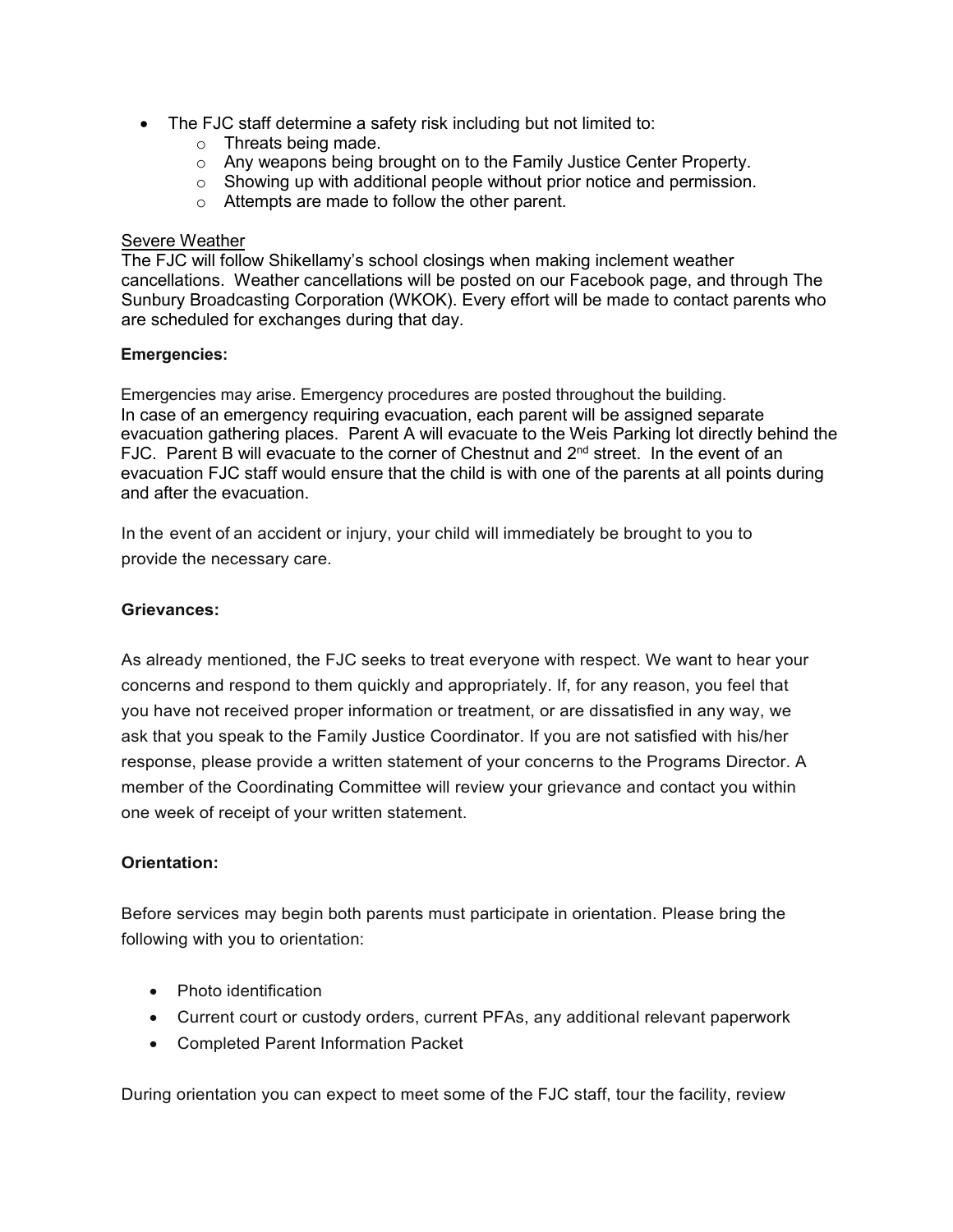- The FJC staff determine a safety risk including but not limited to:
	- o Threats being made.
	- o Any weapons being brought on to the Family Justice Center Property.
	- o Showing up with additional people without prior notice and permission.
	- o Attempts are made to follow the other parent.

#### Severe Weather

The FJC will follow Shikellamy's school closings when making inclement weather cancellations. Weather cancellations will be posted on our Facebook page, and through The Sunbury Broadcasting Corporation (WKOK). Every effort will be made to contact parents who are scheduled for exchanges during that day.

#### **Emergencies:**

Emergencies may arise. Emergency procedures are posted throughout the building. In case of an emergency requiring evacuation, each parent will be assigned separate evacuation gathering places. Parent A will evacuate to the Weis Parking lot directly behind the FJC. Parent B will evacuate to the corner of Chestnut and 2<sup>nd</sup> street. In the event of an evacuation FJC staff would ensure that the child is with one of the parents at all points during and after the evacuation.

In the event of an accident or injury, your child will immediately be brought to you to provide the necessary care.

#### **Grievances:**

As already mentioned, the FJC seeks to treat everyone with respect. We want to hear your concerns and respond to them quickly and appropriately. If, for any reason, you feel that you have not received proper information or treatment, or are dissatisfied in any way, we ask that you speak to the Family Justice Coordinator. If you are not satisfied with his/her response, please provide a written statement of your concerns to the Programs Director. A member of the Coordinating Committee will review your grievance and contact you within one week of receipt of your written statement.

#### **Orientation:**

Before services may begin both parents must participate in orientation. Please bring the following with you to orientation:

- Photo identification
- Current court or custody orders, current PFAs, any additional relevant paperwork
- Completed Parent Information Packet

During orientation you can expect to meet some of the FJC staff, tour the facility, review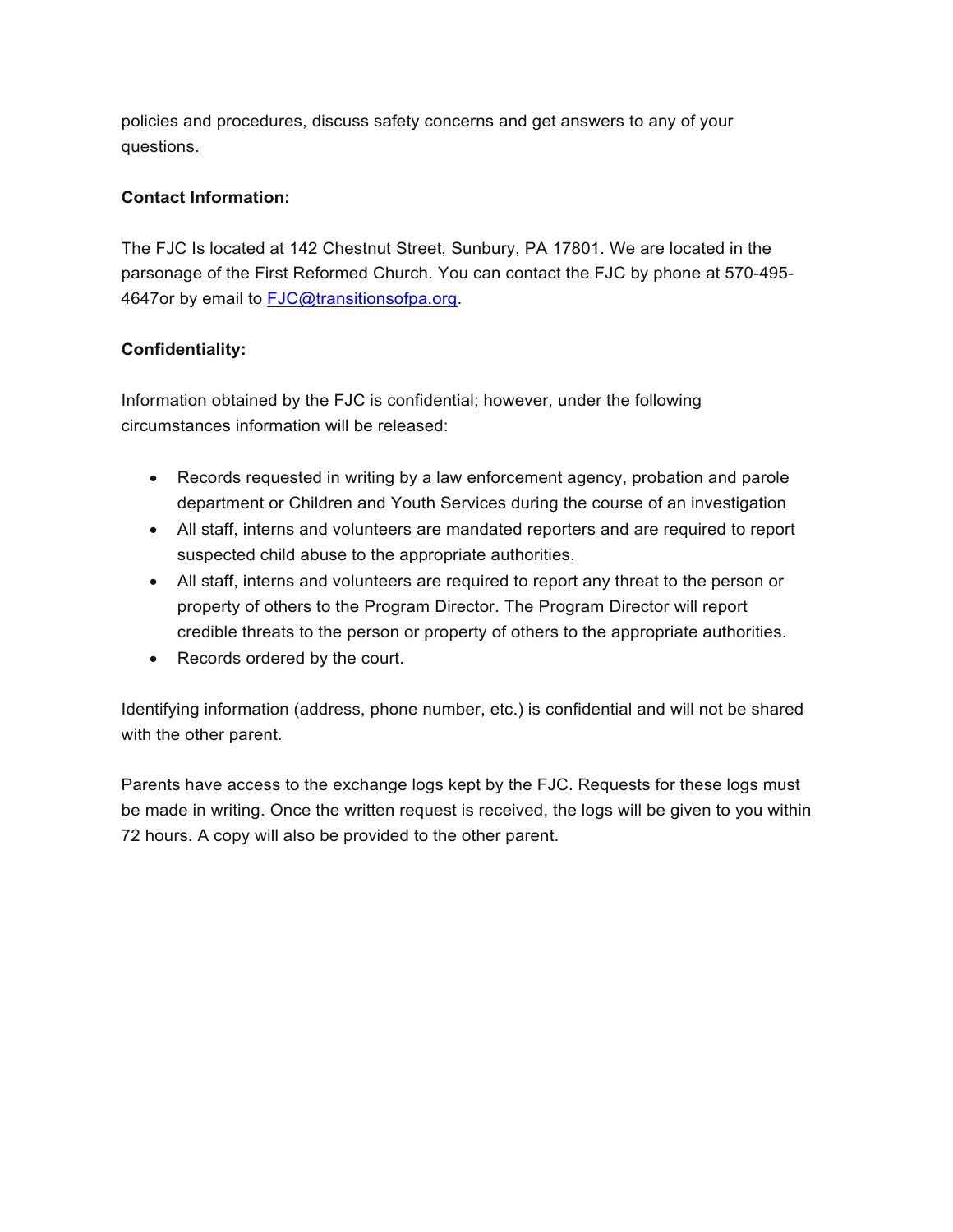policies and procedures, discuss safety concerns and get answers to any of your questions.

# **Contact Information:**

The FJC Is located at 142 Chestnut Street, Sunbury, PA 17801. We are located in the parsonage of the First Reformed Church. You can contact the FJC by phone at 570-495- 4647or by email to [FJC@transitionsofpa.org.](mailto:FJC@transitionsofpa.org)

# **Confidentiality:**

Information obtained by the FJC is confidential; however, under the following circumstances information will be released:

- Records requested in writing by a law enforcement agency, probation and parole department or Children and Youth Services during the course of an investigation
- All staff, interns and volunteers are mandated reporters and are required to report suspected child abuse to the appropriate authorities.
- All staff, interns and volunteers are required to report any threat to the person or property of others to the Program Director. The Program Director will report credible threats to the person or property of others to the appropriate authorities.
- Records ordered by the court.

Identifying information (address, phone number, etc.) is confidential and will not be shared with the other parent.

Parents have access to the exchange logs kept by the FJC. Requests for these logs must be made in writing. Once the written request is received, the logs will be given to you within 72 hours. A copy will also be provided to the other parent.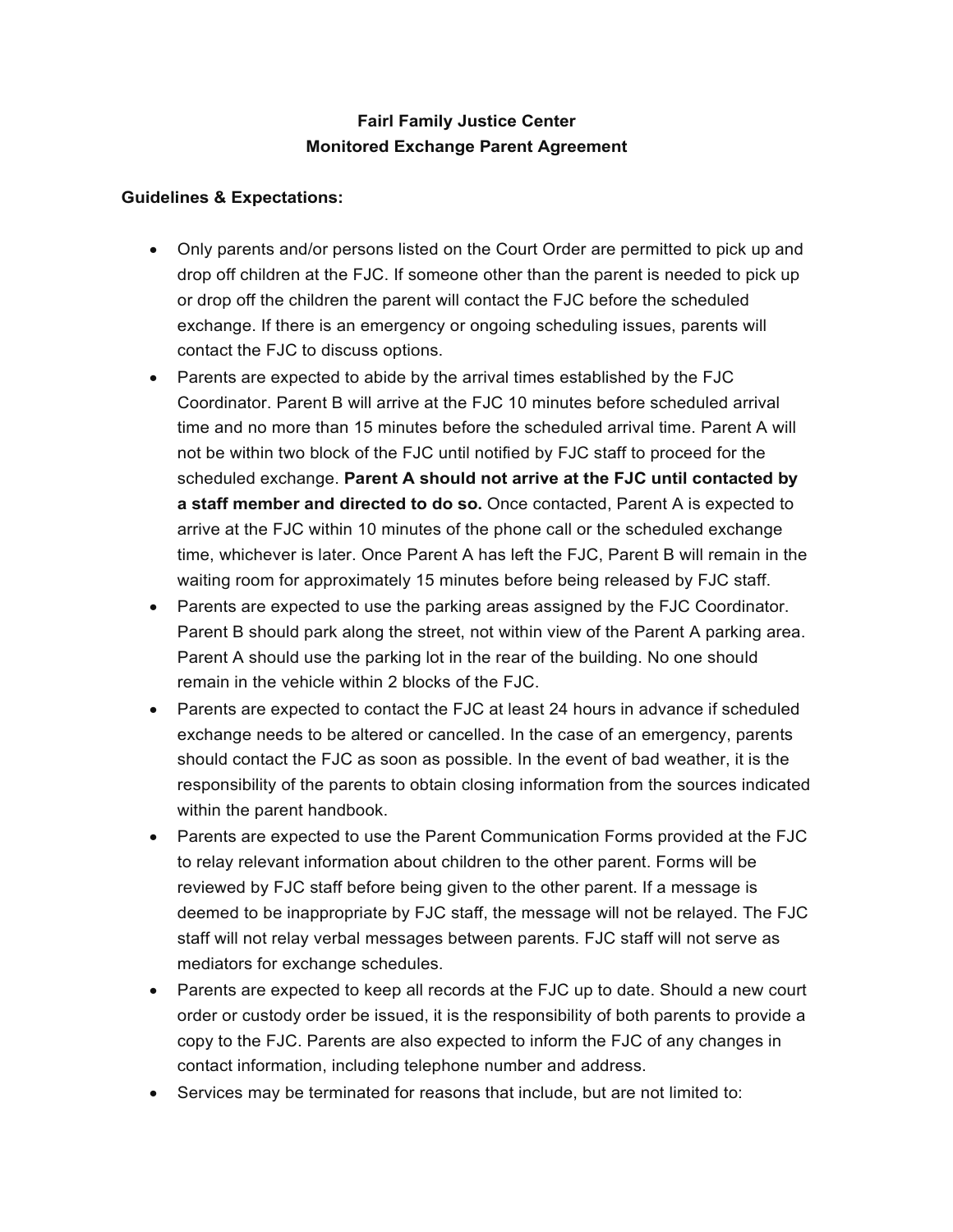# **Fairl Family Justice Center Monitored Exchange Parent Agreement**

## **Guidelines & Expectations:**

- Only parents and/or persons listed on the Court Order are permitted to pick up and drop off children at the FJC. If someone other than the parent is needed to pick up or drop off the children the parent will contact the FJC before the scheduled exchange. If there is an emergency or ongoing scheduling issues, parents will contact the FJC to discuss options.
- Parents are expected to abide by the arrival times established by the FJC Coordinator. Parent B will arrive at the FJC 10 minutes before scheduled arrival time and no more than 15 minutes before the scheduled arrival time. Parent A will not be within two block of the FJC until notified by FJC staff to proceed for the scheduled exchange. **Parent A should not arrive at the FJC until contacted by a staff member and directed to do so.** Once contacted, Parent A is expected to arrive at the FJC within 10 minutes of the phone call or the scheduled exchange time, whichever is later. Once Parent A has left the FJC, Parent B will remain in the waiting room for approximately 15 minutes before being released by FJC staff.
- Parents are expected to use the parking areas assigned by the FJC Coordinator. Parent B should park along the street, not within view of the Parent A parking area. Parent A should use the parking lot in the rear of the building. No one should remain in the vehicle within 2 blocks of the FJC.
- Parents are expected to contact the FJC at least 24 hours in advance if scheduled exchange needs to be altered or cancelled. In the case of an emergency, parents should contact the FJC as soon as possible. In the event of bad weather, it is the responsibility of the parents to obtain closing information from the sources indicated within the parent handbook.
- Parents are expected to use the Parent Communication Forms provided at the FJC to relay relevant information about children to the other parent. Forms will be reviewed by FJC staff before being given to the other parent. If a message is deemed to be inappropriate by FJC staff, the message will not be relayed. The FJC staff will not relay verbal messages between parents. FJC staff will not serve as mediators for exchange schedules.
- Parents are expected to keep all records at the FJC up to date. Should a new court order or custody order be issued, it is the responsibility of both parents to provide a copy to the FJC. Parents are also expected to inform the FJC of any changes in contact information, including telephone number and address.
- Services may be terminated for reasons that include, but are not limited to: